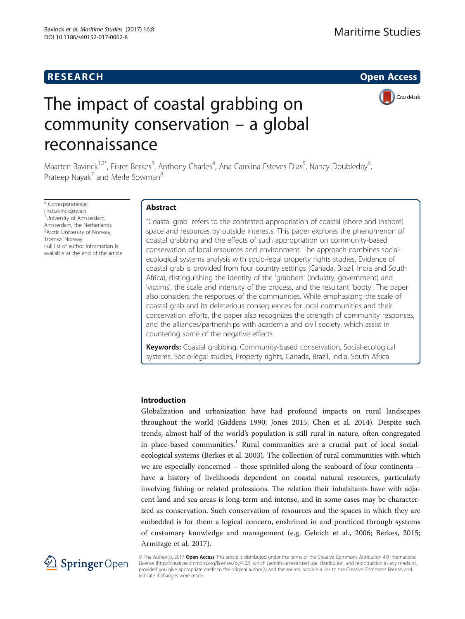## **RESEARCH RESEARCH CONSUMING ACCESS**

# The impact of coastal grabbing on community conservation – a global reconnaissance

CrossMark

Maarten Bavinck<sup>1,2\*</sup>, Fikret Berkes<sup>3</sup>, Anthony Charles<sup>4</sup>, Ana Carolina Esteves Dias<sup>5</sup>, Nancy Doubleday<sup>6</sup> , Prateep Nayak<sup>7</sup> and Merle Sowman<sup>8</sup>

\* Correspondence: [j.m.bavinck@uva.nl](mailto:j.m.bavinck@uva.nl) <sup>1</sup> University of Amsterdam, Amsterdam, the Netherlands <sup>2</sup> Arctic University of Norway, Tromsø, Norway Full list of author information is available at the end of the article

## Abstract

"Coastal grab" refers to the contested appropriation of coastal (shore and inshore) space and resources by outside interests. This paper explores the phenomenon of coastal grabbing and the effects of such appropriation on community-based conservation of local resources and environment. The approach combines socialecological systems analysis with socio-legal property rights studies. Evidence of coastal grab is provided from four country settings (Canada, Brazil, India and South Africa), distinguishing the identity of the 'grabbers' (industry, government) and 'victims', the scale and intensity of the process, and the resultant 'booty'. The paper also considers the responses of the communities. While emphasizing the scale of coastal grab and its deleterious consequences for local communities and their conservation efforts, the paper also recognizes the strength of community responses, and the alliances/partnerships with academia and civil society, which assist in countering some of the negative effects.

Keywords: Coastal grabbing, Community-based conservation, Social-ecological systems, Socio-legal studies, Property rights, Canada, Brazil, India, South Africa

## Introduction

Globalization and urbanization have had profound impacts on rural landscapes throughout the world (Giddens [1990;](#page-15-0) Jones [2015;](#page-15-0) Chen et al. [2014\)](#page-14-0). Despite such trends, almost half of the world's population is still rural in nature, often congregated in place-based communities.<sup>1</sup> Rural communities are a crucial part of local socialecological systems (Berkes et al. [2003\)](#page-14-0). The collection of rural communities with which we are especially concerned – those sprinkled along the seaboard of four continents – have a history of livelihoods dependent on coastal natural resources, particularly involving fishing or related professions. The relation their inhabitants have with adjacent land and sea areas is long-term and intense, and in some cases may be characterized as conservation. Such conservation of resources and the spaces in which they are embedded is for them a logical concern, enshrined in and practiced through systems of customary knowledge and management (e.g. Gelcich et al., [2006;](#page-15-0) Berkes, [2015](#page-14-0); Armitage et al. [2017](#page-14-0)).



© The Author(s). 2017 Open Access This article is distributed under the terms of the Creative Commons Attribution 4.0 International License [\(http://creativecommons.org/licenses/by/4.0/](http://creativecommons.org/licenses/by/4.0/)), which permits unrestricted use, distribution, and reproduction in any medium, provided you give appropriate credit to the original author(s) and the source, provide a link to the Creative Commons license, and indicate if changes were made.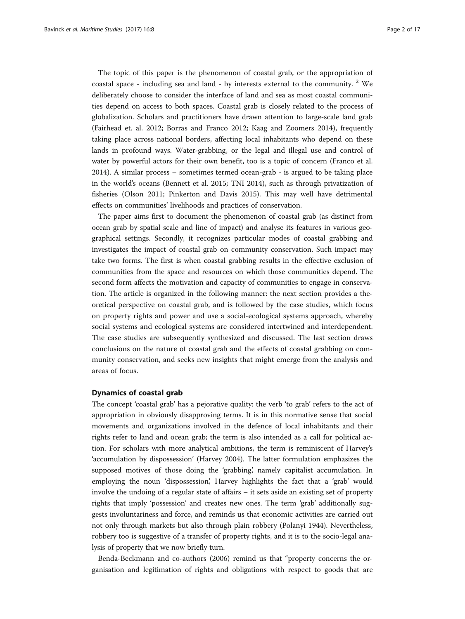The topic of this paper is the phenomenon of coastal grab, or the appropriation of coastal space - including sea and land - by interests external to the community.  $2$  We deliberately choose to consider the interface of land and sea as most coastal communities depend on access to both spaces. Coastal grab is closely related to the process of globalization. Scholars and practitioners have drawn attention to large-scale land grab (Fairhead et. al. [2012](#page-15-0); Borras and Franco [2012](#page-14-0); Kaag and Zoomers [2014\)](#page-15-0), frequently taking place across national borders, affecting local inhabitants who depend on these lands in profound ways. Water-grabbing, or the legal and illegal use and control of water by powerful actors for their own benefit, too is a topic of concern (Franco et al. [2014](#page-15-0)). A similar process – sometimes termed ocean-grab - is argued to be taking place in the world's oceans (Bennett et al. [2015](#page-14-0); TNI [2014](#page-16-0)), such as through privatization of fisheries (Olson [2011;](#page-16-0) Pinkerton and Davis [2015](#page-16-0)). This may well have detrimental effects on communities' livelihoods and practices of conservation.

The paper aims first to document the phenomenon of coastal grab (as distinct from ocean grab by spatial scale and line of impact) and analyse its features in various geographical settings. Secondly, it recognizes particular modes of coastal grabbing and investigates the impact of coastal grab on community conservation. Such impact may take two forms. The first is when coastal grabbing results in the effective exclusion of communities from the space and resources on which those communities depend. The second form affects the motivation and capacity of communities to engage in conservation. The article is organized in the following manner: the next section provides a theoretical perspective on coastal grab, and is followed by the case studies, which focus on property rights and power and use a social-ecological systems approach, whereby social systems and ecological systems are considered intertwined and interdependent. The case studies are subsequently synthesized and discussed. The last section draws conclusions on the nature of coastal grab and the effects of coastal grabbing on community conservation, and seeks new insights that might emerge from the analysis and areas of focus.

## Dynamics of coastal grab

The concept 'coastal grab' has a pejorative quality: the verb 'to grab' refers to the act of appropriation in obviously disapproving terms. It is in this normative sense that social movements and organizations involved in the defence of local inhabitants and their rights refer to land and ocean grab; the term is also intended as a call for political action. For scholars with more analytical ambitions, the term is reminiscent of Harvey's 'accumulation by dispossession' (Harvey [2004\)](#page-15-0). The latter formulation emphasizes the supposed motives of those doing the 'grabbing', namely capitalist accumulation. In employing the noun 'dispossession', Harvey highlights the fact that a 'grab' would involve the undoing of a regular state of affairs – it sets aside an existing set of property rights that imply 'possession' and creates new ones. The term 'grab' additionally suggests involuntariness and force, and reminds us that economic activities are carried out not only through markets but also through plain robbery (Polanyi [1944\)](#page-16-0). Nevertheless, robbery too is suggestive of a transfer of property rights, and it is to the socio-legal analysis of property that we now briefly turn.

Benda-Beckmann and co-authors ([2006](#page-14-0)) remind us that "property concerns the organisation and legitimation of rights and obligations with respect to goods that are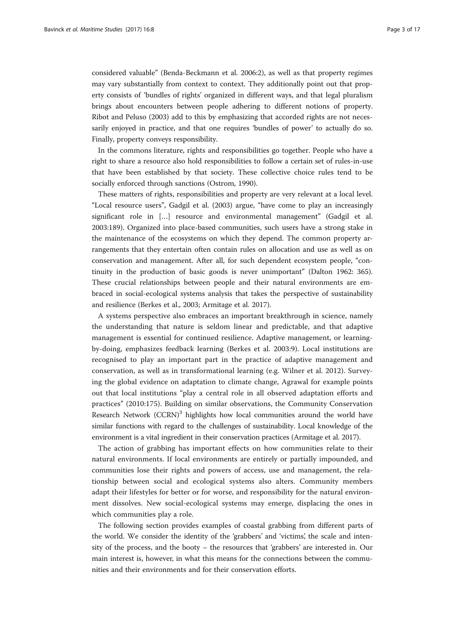considered valuable" (Benda-Beckmann et al. [2006](#page-14-0):2), as well as that property regimes may vary substantially from context to context. They additionally point out that property consists of 'bundles of rights' organized in different ways, and that legal pluralism brings about encounters between people adhering to different notions of property. Ribot and Peluso ([2003](#page-16-0)) add to this by emphasizing that accorded rights are not necessarily enjoyed in practice, and that one requires 'bundles of power' to actually do so. Finally, property conveys responsibility.

In the commons literature, rights and responsibilities go together. People who have a right to share a resource also hold responsibilities to follow a certain set of rules-in-use that have been established by that society. These collective choice rules tend to be socially enforced through sanctions (Ostrom, [1990\)](#page-16-0).

These matters of rights, responsibilities and property are very relevant at a local level. "Local resource users", Gadgil et al. [\(2003\)](#page-15-0) argue, "have come to play an increasingly significant role in […] resource and environmental management" (Gadgil et al. [2003](#page-15-0):189). Organized into place-based communities, such users have a strong stake in the maintenance of the ecosystems on which they depend. The common property arrangements that they entertain often contain rules on allocation and use as well as on conservation and management. After all, for such dependent ecosystem people, "continuity in the production of basic goods is never unimportant" (Dalton [1962:](#page-15-0) 365). These crucial relationships between people and their natural environments are embraced in social-ecological systems analysis that takes the perspective of sustainability and resilience (Berkes et al., [2003](#page-14-0); Armitage et al. [2017](#page-14-0)).

A systems perspective also embraces an important breakthrough in science, namely the understanding that nature is seldom linear and predictable, and that adaptive management is essential for continued resilience. Adaptive management, or learningby-doing, emphasizes feedback learning (Berkes et al. [2003:](#page-14-0)9). Local institutions are recognised to play an important part in the practice of adaptive management and conservation, as well as in transformational learning (e.g. Wilner et al. [2012](#page-16-0)). Surveying the global evidence on adaptation to climate change, Agrawal for example points out that local institutions "play a central role in all observed adaptation efforts and practices" ([2010:](#page-14-0)175). Building on similar observations, the Community Conservation Research Network  $(CCRN)^3$  highlights how local communities around the world have similar functions with regard to the challenges of sustainability. Local knowledge of the environment is a vital ingredient in their conservation practices (Armitage et al. [2017](#page-14-0)).

The action of grabbing has important effects on how communities relate to their natural environments. If local environments are entirely or partially impounded, and communities lose their rights and powers of access, use and management, the relationship between social and ecological systems also alters. Community members adapt their lifestyles for better or for worse, and responsibility for the natural environment dissolves. New social-ecological systems may emerge, displacing the ones in which communities play a role.

The following section provides examples of coastal grabbing from different parts of the world. We consider the identity of the 'grabbers' and 'victims', the scale and intensity of the process, and the booty – the resources that 'grabbers' are interested in. Our main interest is, however, in what this means for the connections between the communities and their environments and for their conservation efforts.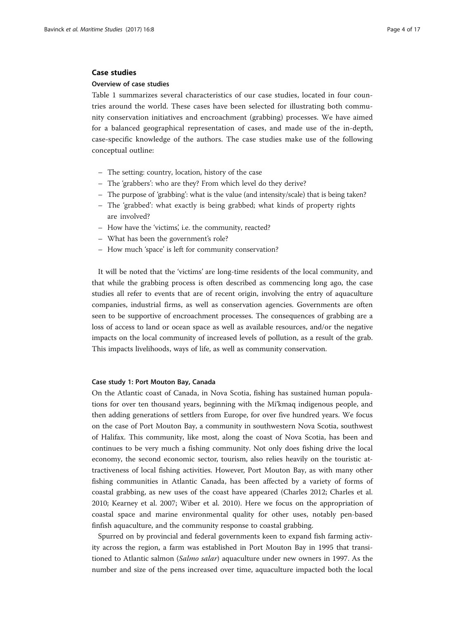## Case studies

#### Overview of case studies

Table [1](#page-4-0) summarizes several characteristics of our case studies, located in four countries around the world. These cases have been selected for illustrating both community conservation initiatives and encroachment (grabbing) processes. We have aimed for a balanced geographical representation of cases, and made use of the in-depth, case-specific knowledge of the authors. The case studies make use of the following conceptual outline:

- The setting: country, location, history of the case
- The 'grabbers': who are they? From which level do they derive?
- The purpose of 'grabbing': what is the value (and intensity/scale) that is being taken?
- The 'grabbed': what exactly is being grabbed; what kinds of property rights are involved?
- How have the 'victims', i.e. the community, reacted?
- What has been the government's role?
- How much 'space' is left for community conservation?

It will be noted that the 'victims' are long-time residents of the local community, and that while the grabbing process is often described as commencing long ago, the case studies all refer to events that are of recent origin, involving the entry of aquaculture companies, industrial firms, as well as conservation agencies. Governments are often seen to be supportive of encroachment processes. The consequences of grabbing are a loss of access to land or ocean space as well as available resources, and/or the negative impacts on the local community of increased levels of pollution, as a result of the grab. This impacts livelihoods, ways of life, as well as community conservation.

## Case study 1: Port Mouton Bay, Canada

On the Atlantic coast of Canada, in Nova Scotia, fishing has sustained human populations for over ten thousand years, beginning with the Mi'kmaq indigenous people, and then adding generations of settlers from Europe, for over five hundred years. We focus on the case of Port Mouton Bay, a community in southwestern Nova Scotia, southwest of Halifax. This community, like most, along the coast of Nova Scotia, has been and continues to be very much a fishing community. Not only does fishing drive the local economy, the second economic sector, tourism, also relies heavily on the touristic attractiveness of local fishing activities. However, Port Mouton Bay, as with many other fishing communities in Atlantic Canada, has been affected by a variety of forms of coastal grabbing, as new uses of the coast have appeared (Charles [2012](#page-14-0); Charles et al. [2010](#page-14-0); Kearney et al. [2007;](#page-15-0) Wiber et al. [2010\)](#page-16-0). Here we focus on the appropriation of coastal space and marine environmental quality for other uses, notably pen-based finfish aquaculture, and the community response to coastal grabbing.

Spurred on by provincial and federal governments keen to expand fish farming activity across the region, a farm was established in Port Mouton Bay in 1995 that transitioned to Atlantic salmon (*Salmo salar*) aquaculture under new owners in 1997. As the number and size of the pens increased over time, aquaculture impacted both the local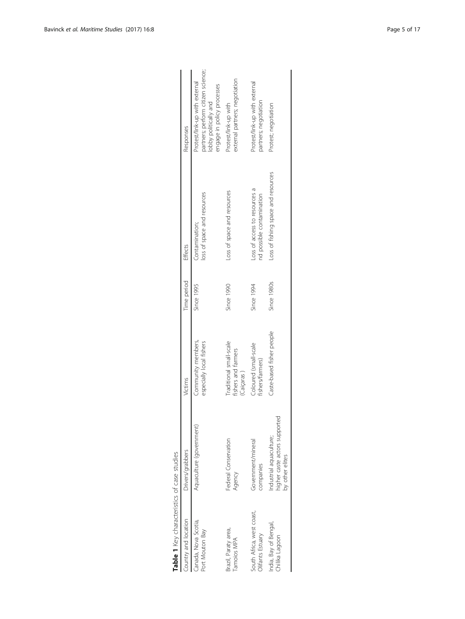<span id="page-4-0"></span>

| Table 1 Key characteristics of case studies   |                                                                            |                                                              |                   |                                                            |                                                                                                                           |
|-----------------------------------------------|----------------------------------------------------------------------------|--------------------------------------------------------------|-------------------|------------------------------------------------------------|---------------------------------------------------------------------------------------------------------------------------|
| Country and location                          | Drivers/grabbers                                                           | Victims                                                      | Time period       | Effects                                                    | Responses                                                                                                                 |
| Canada, Nova Scotia,<br>Port Mouton Bay       | Aquaculture (government)                                                   | Community members,<br>especially local fishers               | Since 1995        | loss of space and resources<br>Contamination;              | partners; perform citizen science;<br>Protest/link-up with external<br>engage in policy processes<br>obby politically and |
| Brazil, Paraty area,<br>Tamoios MPA           | Federal Conservation<br>Agency                                             | Traditional small-scale<br>fishers and farmers<br>(Caiçaras) | Since 1990        | Loss of space and resources                                | external partners; negotiation<br>Protest/link-up with                                                                    |
| South Africa, west coast,<br>Olifants Estuary | Government/mineral<br>companies                                            | Coloured (small-scale<br>fishers/farmers)                    | <b>Since 1994</b> | Loss of access to resources a<br>nd possible contamination | Protest/link-up with external<br>partners; negotiation                                                                    |
| India, Bay of Bengal,<br>Chilika Lagoon       | higher caste actors supported<br>ndustrial aquaculture;<br>by other elites | Caste-based fisher people                                    | Since 1980s       | Loss of fishing space and resources                        | Protest; negotiation                                                                                                      |
|                                               |                                                                            |                                                              |                   |                                                            |                                                                                                                           |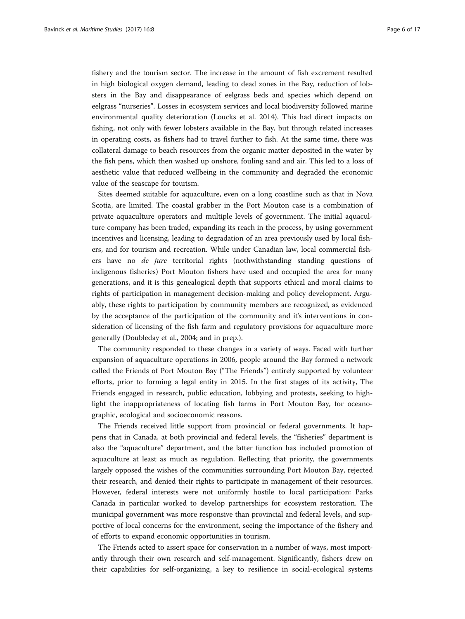fishery and the tourism sector. The increase in the amount of fish excrement resulted in high biological oxygen demand, leading to dead zones in the Bay, reduction of lobsters in the Bay and disappearance of eelgrass beds and species which depend on eelgrass "nurseries". Losses in ecosystem services and local biodiversity followed marine environmental quality deterioration (Loucks et al. [2014\)](#page-15-0). This had direct impacts on fishing, not only with fewer lobsters available in the Bay, but through related increases in operating costs, as fishers had to travel further to fish. At the same time, there was collateral damage to beach resources from the organic matter deposited in the water by the fish pens, which then washed up onshore, fouling sand and air. This led to a loss of aesthetic value that reduced wellbeing in the community and degraded the economic value of the seascape for tourism.

Sites deemed suitable for aquaculture, even on a long coastline such as that in Nova Scotia, are limited. The coastal grabber in the Port Mouton case is a combination of private aquaculture operators and multiple levels of government. The initial aquaculture company has been traded, expanding its reach in the process, by using government incentives and licensing, leading to degradation of an area previously used by local fishers, and for tourism and recreation. While under Canadian law, local commercial fishers have no de jure territorial rights (nothwithstanding standing questions of indigenous fisheries) Port Mouton fishers have used and occupied the area for many generations, and it is this genealogical depth that supports ethical and moral claims to rights of participation in management decision-making and policy development. Arguably, these rights to participation by community members are recognized, as evidenced by the acceptance of the participation of the community and it's interventions in consideration of licensing of the fish farm and regulatory provisions for aquaculture more generally (Doubleday et al., [2004](#page-15-0); and in prep.).

The community responded to these changes in a variety of ways. Faced with further expansion of aquaculture operations in 2006, people around the Bay formed a network called the Friends of Port Mouton Bay ("The Friends") entirely supported by volunteer efforts, prior to forming a legal entity in 2015. In the first stages of its activity, The Friends engaged in research, public education, lobbying and protests, seeking to highlight the inappropriateness of locating fish farms in Port Mouton Bay, for oceanographic, ecological and socioeconomic reasons.

The Friends received little support from provincial or federal governments. It happens that in Canada, at both provincial and federal levels, the "fisheries" department is also the "aquaculture" department, and the latter function has included promotion of aquaculture at least as much as regulation. Reflecting that priority, the governments largely opposed the wishes of the communities surrounding Port Mouton Bay, rejected their research, and denied their rights to participate in management of their resources. However, federal interests were not uniformly hostile to local participation: Parks Canada in particular worked to develop partnerships for ecosystem restoration. The municipal government was more responsive than provincial and federal levels, and supportive of local concerns for the environment, seeing the importance of the fishery and of efforts to expand economic opportunities in tourism.

The Friends acted to assert space for conservation in a number of ways, most importantly through their own research and self-management. Significantly, fishers drew on their capabilities for self-organizing, a key to resilience in social-ecological systems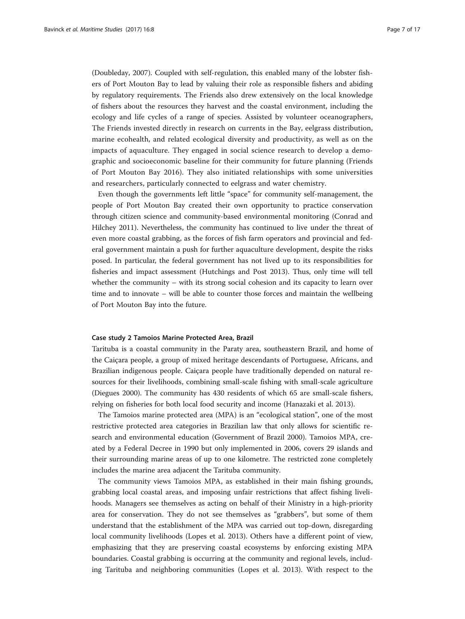(Doubleday, [2007\)](#page-15-0). Coupled with self-regulation, this enabled many of the lobster fishers of Port Mouton Bay to lead by valuing their role as responsible fishers and abiding by regulatory requirements. The Friends also drew extensively on the local knowledge of fishers about the resources they harvest and the coastal environment, including the ecology and life cycles of a range of species. Assisted by volunteer oceanographers, The Friends invested directly in research on currents in the Bay, eelgrass distribution, marine ecohealth, and related ecological diversity and productivity, as well as on the impacts of aquaculture. They engaged in social science research to develop a demographic and socioeconomic baseline for their community for future planning (Friends of Port Mouton Bay [2016\)](#page-15-0). They also initiated relationships with some universities and researchers, particularly connected to eelgrass and water chemistry.

Even though the governments left little "space" for community self-management, the people of Port Mouton Bay created their own opportunity to practice conservation through citizen science and community-based environmental monitoring (Conrad and Hilchey [2011](#page-14-0)). Nevertheless, the community has continued to live under the threat of even more coastal grabbing, as the forces of fish farm operators and provincial and federal government maintain a push for further aquaculture development, despite the risks posed. In particular, the federal government has not lived up to its responsibilities for fisheries and impact assessment (Hutchings and Post [2013\)](#page-15-0). Thus, only time will tell whether the community – with its strong social cohesion and its capacity to learn over time and to innovate – will be able to counter those forces and maintain the wellbeing of Port Mouton Bay into the future.

#### Case study 2 Tamoios Marine Protected Area, Brazil

Tarituba is a coastal community in the Paraty area, southeastern Brazil, and home of the Caiçara people, a group of mixed heritage descendants of Portuguese, Africans, and Brazilian indigenous people. Caiçara people have traditionally depended on natural resources for their livelihoods, combining small-scale fishing with small-scale agriculture (Diegues [2000](#page-15-0)). The community has 430 residents of which 65 are small-scale fishers, relying on fisheries for both local food security and income (Hanazaki et al. [2013\)](#page-15-0).

The Tamoios marine protected area (MPA) is an "ecological station", one of the most restrictive protected area categories in Brazilian law that only allows for scientific research and environmental education (Government of Brazil [2000\)](#page-15-0). Tamoios MPA, created by a Federal Decree in 1990 but only implemented in 2006, covers 29 islands and their surrounding marine areas of up to one kilometre. The restricted zone completely includes the marine area adjacent the Tarituba community.

The community views Tamoios MPA, as established in their main fishing grounds, grabbing local coastal areas, and imposing unfair restrictions that affect fishing livelihoods. Managers see themselves as acting on behalf of their Ministry in a high-priority area for conservation. They do not see themselves as "grabbers", but some of them understand that the establishment of the MPA was carried out top-down, disregarding local community livelihoods (Lopes et al. [2013\)](#page-15-0). Others have a different point of view, emphasizing that they are preserving coastal ecosystems by enforcing existing MPA boundaries. Coastal grabbing is occurring at the community and regional levels, including Tarituba and neighboring communities (Lopes et al. [2013](#page-15-0)). With respect to the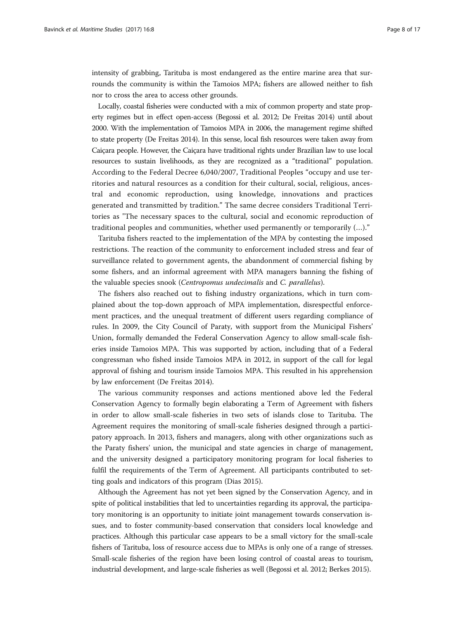intensity of grabbing, Tarituba is most endangered as the entire marine area that surrounds the community is within the Tamoios MPA; fishers are allowed neither to fish nor to cross the area to access other grounds.

Locally, coastal fisheries were conducted with a mix of common property and state property regimes but in effect open-access (Begossi et al. [2012](#page-14-0); De Freitas [2014\)](#page-15-0) until about 2000. With the implementation of Tamoios MPA in 2006, the management regime shifted to state property (De Freitas [2014\)](#page-15-0). In this sense, local fish resources were taken away from Caiçara people. However, the Caiçara have traditional rights under Brazilian law to use local resources to sustain livelihoods, as they are recognized as a "traditional" population. According to the Federal Decree 6,040/2007, Traditional Peoples "occupy and use territories and natural resources as a condition for their cultural, social, religious, ancestral and economic reproduction, using knowledge, innovations and practices generated and transmitted by tradition." The same decree considers Traditional Territories as "The necessary spaces to the cultural, social and economic reproduction of traditional peoples and communities, whether used permanently or temporarily (…)."

Tarituba fishers reacted to the implementation of the MPA by contesting the imposed restrictions. The reaction of the community to enforcement included stress and fear of surveillance related to government agents, the abandonment of commercial fishing by some fishers, and an informal agreement with MPA managers banning the fishing of the valuable species snook (Centropomus undecimalis and C. parallelus).

The fishers also reached out to fishing industry organizations, which in turn complained about the top-down approach of MPA implementation, disrespectful enforcement practices, and the unequal treatment of different users regarding compliance of rules. In 2009, the City Council of Paraty, with support from the Municipal Fishers' Union, formally demanded the Federal Conservation Agency to allow small-scale fisheries inside Tamoios MPA. This was supported by action, including that of a Federal congressman who fished inside Tamoios MPA in 2012, in support of the call for legal approval of fishing and tourism inside Tamoios MPA. This resulted in his apprehension by law enforcement (De Freitas [2014\)](#page-15-0).

The various community responses and actions mentioned above led the Federal Conservation Agency to formally begin elaborating a Term of Agreement with fishers in order to allow small-scale fisheries in two sets of islands close to Tarituba. The Agreement requires the monitoring of small-scale fisheries designed through a participatory approach. In 2013, fishers and managers, along with other organizations such as the Paraty fishers' union, the municipal and state agencies in charge of management, and the university designed a participatory monitoring program for local fisheries to fulfil the requirements of the Term of Agreement. All participants contributed to setting goals and indicators of this program (Dias [2015](#page-15-0)).

Although the Agreement has not yet been signed by the Conservation Agency, and in spite of political instabilities that led to uncertainties regarding its approval, the participatory monitoring is an opportunity to initiate joint management towards conservation issues, and to foster community-based conservation that considers local knowledge and practices. Although this particular case appears to be a small victory for the small-scale fishers of Tarituba, loss of resource access due to MPAs is only one of a range of stresses. Small-scale fisheries of the region have been losing control of coastal areas to tourism, industrial development, and large-scale fisheries as well (Begossi et al. [2012;](#page-14-0) Berkes [2015](#page-14-0)).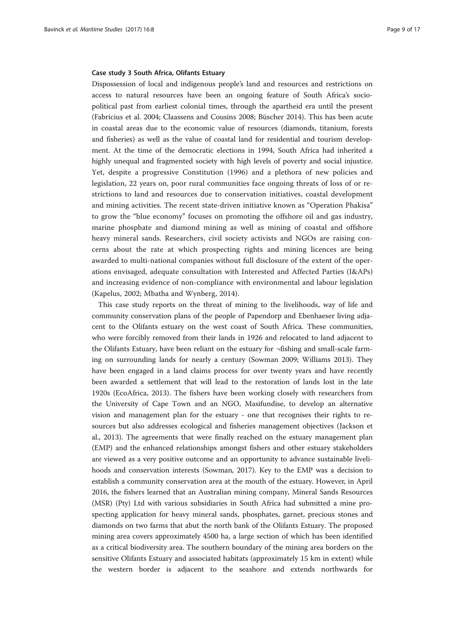### Case study 3 South Africa, Olifants Estuary

Dispossession of local and indigenous people's land and resources and restrictions on access to natural resources have been an ongoing feature of South Africa's sociopolitical past from earliest colonial times, through the apartheid era until the present (Fabricius et al. [2004;](#page-15-0) Claassens and Cousins [2008](#page-14-0); Büscher [2014\)](#page-14-0). This has been acute in coastal areas due to the economic value of resources (diamonds, titanium, forests and fisheries) as well as the value of coastal land for residential and tourism development. At the time of the democratic elections in 1994, South Africa had inherited a highly unequal and fragmented society with high levels of poverty and social injustice. Yet, despite a progressive Constitution (1996) and a plethora of new policies and legislation, 22 years on, poor rural communities face ongoing threats of loss of or restrictions to land and resources due to conservation initiatives, coastal development and mining activities. The recent state-driven initiative known as "Operation Phakisa" to grow the "blue economy" focuses on promoting the offshore oil and gas industry, marine phosphate and diamond mining as well as mining of coastal and offshore heavy mineral sands. Researchers, civil society activists and NGOs are raising concerns about the rate at which prospecting rights and mining licences are being awarded to multi-national companies without full disclosure of the extent of the operations envisaged, adequate consultation with Interested and Affected Parties (I&APs) and increasing evidence of non-compliance with environmental and labour legislation (Kapelus, [2002](#page-15-0); Mbatha and Wynberg, [2014](#page-15-0)).

This case study reports on the threat of mining to the livelihoods, way of life and community conservation plans of the people of Papendorp and Ebenhaeser living adjacent to the Olifants estuary on the west coast of South Africa. These communities, who were forcibly removed from their lands in 1926 and relocated to land adjacent to the Olifants Estuary, have been reliant on the estuary for ¬fishing and small-scale farming on surrounding lands for nearly a century (Sowman [2009;](#page-16-0) Williams [2013](#page-16-0)). They have been engaged in a land claims process for over twenty years and have recently been awarded a settlement that will lead to the restoration of lands lost in the late 1920s (EcoAfrica, [2013\)](#page-15-0). The fishers have been working closely with researchers from the University of Cape Town and an NGO, Masifundise, to develop an alternative vision and management plan for the estuary - one that recognises their rights to resources but also addresses ecological and fisheries management objectives (Jackson et al., [2013](#page-15-0)). The agreements that were finally reached on the estuary management plan (EMP) and the enhanced relationships amongst fishers and other estuary stakeholders are viewed as a very positive outcome and an opportunity to advance sustainable livelihoods and conservation interests (Sowman, [2017](#page-16-0)). Key to the EMP was a decision to establish a community conservation area at the mouth of the estuary. However, in April 2016, the fishers learned that an Australian mining company, Mineral Sands Resources (MSR) (Pty) Ltd with various subsidiaries in South Africa had submitted a mine prospecting application for heavy mineral sands, phosphates, garnet, precious stones and diamonds on two farms that abut the north bank of the Olifants Estuary. The proposed mining area covers approximately 4500 ha, a large section of which has been identified as a critical biodiversity area. The southern boundary of the mining area borders on the sensitive Olifants Estuary and associated habitats (approximately 15 km in extent) while the western border is adjacent to the seashore and extends northwards for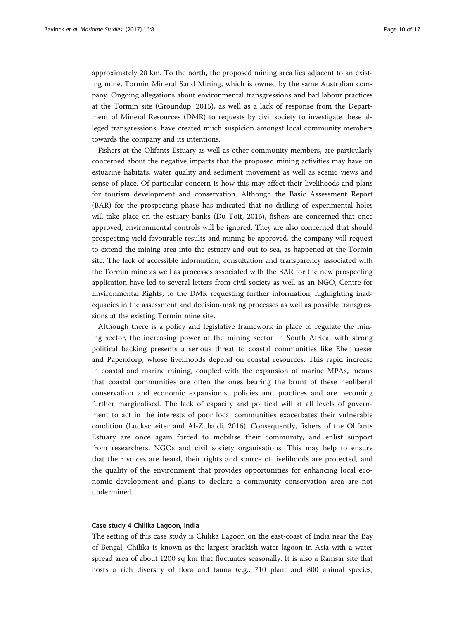approximately 20 km. To the north, the proposed mining area lies adjacent to an existing mine, Tormin Mineral Sand Mining, which is owned by the same Australian company. Ongoing allegations about environmental transgressions and bad labour practices at the Tormin site (Groundup, [2015\)](#page-15-0), as well as a lack of response from the Department of Mineral Resources (DMR) to requests by civil society to investigate these alleged transgressions, have created much suspicion amongst local community members towards the company and its intentions.

Fishers at the Olifants Estuary as well as other community members, are particularly concerned about the negative impacts that the proposed mining activities may have on estuarine habitats, water quality and sediment movement as well as scenic views and sense of place. Of particular concern is how this may affect their livelihoods and plans for tourism development and conservation. Although the Basic Assessment Report (BAR) for the prospecting phase has indicated that no drilling of experimental holes will take place on the estuary banks (Du Toit, [2016\)](#page-15-0), fishers are concerned that once approved, environmental controls will be ignored. They are also concerned that should prospecting yield favourable results and mining be approved, the company will request to extend the mining area into the estuary and out to sea, as happened at the Tormin site. The lack of accessible information, consultation and transparency associated with the Tormin mine as well as processes associated with the BAR for the new prospecting application have led to several letters from civil society as well as an NGO, Centre for Environmental Rights, to the DMR requesting further information, highlighting inadequacies in the assessment and decision-making processes as well as possible transgressions at the existing Tormin mine site.

Although there is a policy and legislative framework in place to regulate the mining sector, the increasing power of the mining sector in South Africa, with strong political backing presents a serious threat to coastal communities like Ebenhaeser and Papendorp, whose livelihoods depend on coastal resources. This rapid increase in coastal and marine mining, coupled with the expansion of marine MPAs, means that coastal communities are often the ones bearing the brunt of these neoliberal conservation and economic expansionist policies and practices and are becoming further marginalised. The lack of capacity and political will at all levels of government to act in the interests of poor local communities exacerbates their vulnerable condition (Luckscheiter and Al-Zubaidi, [2016](#page-15-0)). Consequently, fishers of the Olifants Estuary are once again forced to mobilise their community, and enlist support from researchers, NGOs and civil society organisations. This may help to ensure that their voices are heard, their rights and source of livelihoods are protected, and the quality of the environment that provides opportunities for enhancing local economic development and plans to declare a community conservation area are not undermined.

## Case study 4 Chilika Lagoon, India

The setting of this case study is Chilika Lagoon on the east-coast of India near the Bay of Bengal. Chilika is known as the largest brackish water lagoon in Asia with a water spread area of about 1200 sq km that fluctuates seasonally. It is also a Ramsar site that hosts a rich diversity of flora and fauna (e.g., 710 plant and 800 animal species,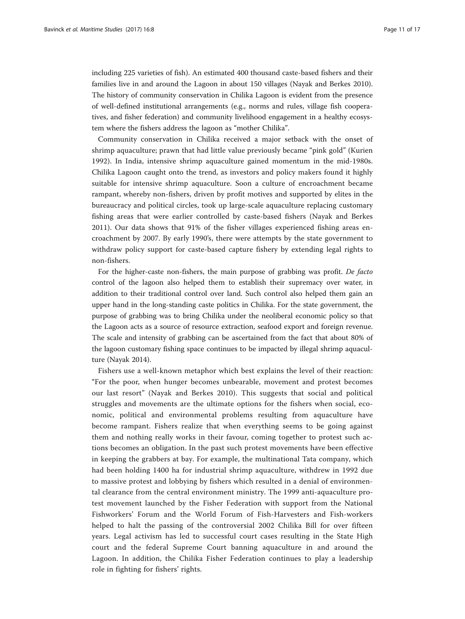including 225 varieties of fish). An estimated 400 thousand caste-based fishers and their families live in and around the Lagoon in about 150 villages (Nayak and Berkes [2010](#page-15-0)). The history of community conservation in Chilika Lagoon is evident from the presence of well-defined institutional arrangements (e.g., norms and rules, village fish cooperatives, and fisher federation) and community livelihood engagement in a healthy ecosystem where the fishers address the lagoon as "mother Chilika".

Community conservation in Chilika received a major setback with the onset of shrimp aquaculture; prawn that had little value previously became "pink gold" (Kurien [1992\)](#page-15-0). In India, intensive shrimp aquaculture gained momentum in the mid-1980s. Chilika Lagoon caught onto the trend, as investors and policy makers found it highly suitable for intensive shrimp aquaculture. Soon a culture of encroachment became rampant, whereby non-fishers, driven by profit motives and supported by elites in the bureaucracy and political circles, took up large-scale aquaculture replacing customary fishing areas that were earlier controlled by caste-based fishers (Nayak and Berkes [2011\)](#page-15-0). Our data shows that 91% of the fisher villages experienced fishing areas encroachment by 2007. By early 1990's, there were attempts by the state government to withdraw policy support for caste-based capture fishery by extending legal rights to non-fishers.

For the higher-caste non-fishers, the main purpose of grabbing was profit. De facto control of the lagoon also helped them to establish their supremacy over water, in addition to their traditional control over land. Such control also helped them gain an upper hand in the long-standing caste politics in Chilika. For the state government, the purpose of grabbing was to bring Chilika under the neoliberal economic policy so that the Lagoon acts as a source of resource extraction, seafood export and foreign revenue. The scale and intensity of grabbing can be ascertained from the fact that about 80% of the lagoon customary fishing space continues to be impacted by illegal shrimp aquaculture (Nayak [2014](#page-15-0)).

Fishers use a well-known metaphor which best explains the level of their reaction: "For the poor, when hunger becomes unbearable, movement and protest becomes our last resort" (Nayak and Berkes [2010\)](#page-15-0). This suggests that social and political struggles and movements are the ultimate options for the fishers when social, economic, political and environmental problems resulting from aquaculture have become rampant. Fishers realize that when everything seems to be going against them and nothing really works in their favour, coming together to protest such actions becomes an obligation. In the past such protest movements have been effective in keeping the grabbers at bay. For example, the multinational Tata company, which had been holding 1400 ha for industrial shrimp aquaculture, withdrew in 1992 due to massive protest and lobbying by fishers which resulted in a denial of environmental clearance from the central environment ministry. The 1999 anti-aquaculture protest movement launched by the Fisher Federation with support from the National Fishworkers' Forum and the World Forum of Fish-Harvesters and Fish-workers helped to halt the passing of the controversial 2002 Chilika Bill for over fifteen years. Legal activism has led to successful court cases resulting in the State High court and the federal Supreme Court banning aquaculture in and around the Lagoon. In addition, the Chilika Fisher Federation continues to play a leadership role in fighting for fishers' rights.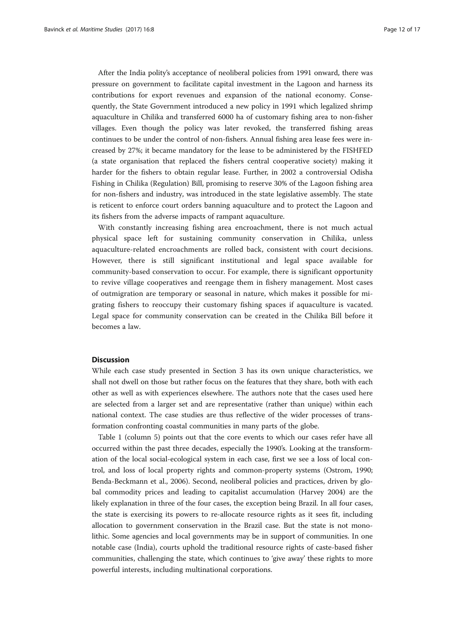After the India polity's acceptance of neoliberal policies from 1991 onward, there was pressure on government to facilitate capital investment in the Lagoon and harness its contributions for export revenues and expansion of the national economy. Consequently, the State Government introduced a new policy in 1991 which legalized shrimp aquaculture in Chilika and transferred 6000 ha of customary fishing area to non-fisher villages. Even though the policy was later revoked, the transferred fishing areas continues to be under the control of non-fishers. Annual fishing area lease fees were increased by 27%; it became mandatory for the lease to be administered by the FISHFED (a state organisation that replaced the fishers central cooperative society) making it harder for the fishers to obtain regular lease. Further, in 2002 a controversial Odisha Fishing in Chilika (Regulation) Bill, promising to reserve 30% of the Lagoon fishing area for non-fishers and industry, was introduced in the state legislative assembly. The state is reticent to enforce court orders banning aquaculture and to protect the Lagoon and its fishers from the adverse impacts of rampant aquaculture.

With constantly increasing fishing area encroachment, there is not much actual physical space left for sustaining community conservation in Chilika, unless aquaculture-related encroachments are rolled back, consistent with court decisions. However, there is still significant institutional and legal space available for community-based conservation to occur. For example, there is significant opportunity to revive village cooperatives and reengage them in fishery management. Most cases of outmigration are temporary or seasonal in nature, which makes it possible for migrating fishers to reoccupy their customary fishing spaces if aquaculture is vacated. Legal space for community conservation can be created in the Chilika Bill before it becomes a law.

## **Discussion**

While each case study presented in Section 3 has its own unique characteristics, we shall not dwell on those but rather focus on the features that they share, both with each other as well as with experiences elsewhere. The authors note that the cases used here are selected from a larger set and are representative (rather than unique) within each national context. The case studies are thus reflective of the wider processes of transformation confronting coastal communities in many parts of the globe.

Table [1](#page-4-0) (column 5) points out that the core events to which our cases refer have all occurred within the past three decades, especially the 1990's. Looking at the transformation of the local social-ecological system in each case, first we see a loss of local control, and loss of local property rights and common-property systems (Ostrom, [1990](#page-16-0); Benda-Beckmann et al., [2006](#page-14-0)). Second, neoliberal policies and practices, driven by global commodity prices and leading to capitalist accumulation (Harvey [2004](#page-15-0)) are the likely explanation in three of the four cases, the exception being Brazil. In all four cases, the state is exercising its powers to re-allocate resource rights as it sees fit, including allocation to government conservation in the Brazil case. But the state is not monolithic. Some agencies and local governments may be in support of communities. In one notable case (India), courts uphold the traditional resource rights of caste-based fisher communities, challenging the state, which continues to 'give away' these rights to more powerful interests, including multinational corporations.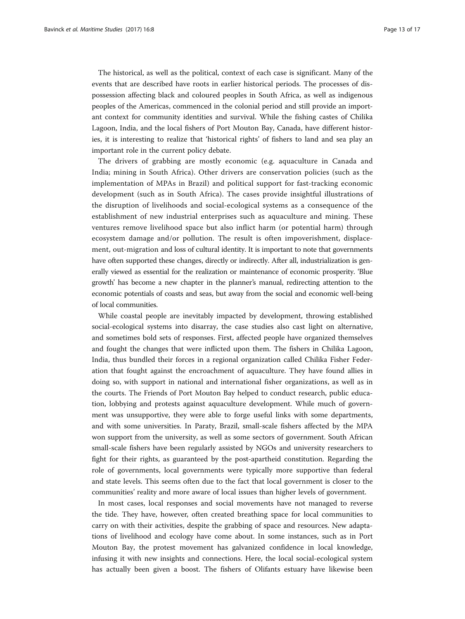The historical, as well as the political, context of each case is significant. Many of the events that are described have roots in earlier historical periods. The processes of dispossession affecting black and coloured peoples in South Africa, as well as indigenous peoples of the Americas, commenced in the colonial period and still provide an important context for community identities and survival. While the fishing castes of Chilika Lagoon, India, and the local fishers of Port Mouton Bay, Canada, have different histories, it is interesting to realize that 'historical rights' of fishers to land and sea play an important role in the current policy debate.

The drivers of grabbing are mostly economic (e.g. aquaculture in Canada and India; mining in South Africa). Other drivers are conservation policies (such as the implementation of MPAs in Brazil) and political support for fast-tracking economic development (such as in South Africa). The cases provide insightful illustrations of the disruption of livelihoods and social-ecological systems as a consequence of the establishment of new industrial enterprises such as aquaculture and mining. These ventures remove livelihood space but also inflict harm (or potential harm) through ecosystem damage and/or pollution. The result is often impoverishment, displacement, out-migration and loss of cultural identity. It is important to note that governments have often supported these changes, directly or indirectly. After all, industrialization is generally viewed as essential for the realization or maintenance of economic prosperity. 'Blue growth' has become a new chapter in the planner's manual, redirecting attention to the economic potentials of coasts and seas, but away from the social and economic well-being of local communities.

While coastal people are inevitably impacted by development, throwing established social-ecological systems into disarray, the case studies also cast light on alternative, and sometimes bold sets of responses. First, affected people have organized themselves and fought the changes that were inflicted upon them. The fishers in Chilika Lagoon, India, thus bundled their forces in a regional organization called Chilika Fisher Federation that fought against the encroachment of aquaculture. They have found allies in doing so, with support in national and international fisher organizations, as well as in the courts. The Friends of Port Mouton Bay helped to conduct research, public education, lobbying and protests against aquaculture development. While much of government was unsupportive, they were able to forge useful links with some departments, and with some universities. In Paraty, Brazil, small-scale fishers affected by the MPA won support from the university, as well as some sectors of government. South African small-scale fishers have been regularly assisted by NGOs and university researchers to fight for their rights, as guaranteed by the post-apartheid constitution. Regarding the role of governments, local governments were typically more supportive than federal and state levels. This seems often due to the fact that local government is closer to the communities' reality and more aware of local issues than higher levels of government.

In most cases, local responses and social movements have not managed to reverse the tide. They have, however, often created breathing space for local communities to carry on with their activities, despite the grabbing of space and resources. New adaptations of livelihood and ecology have come about. In some instances, such as in Port Mouton Bay, the protest movement has galvanized confidence in local knowledge, infusing it with new insights and connections. Here, the local social-ecological system has actually been given a boost. The fishers of Olifants estuary have likewise been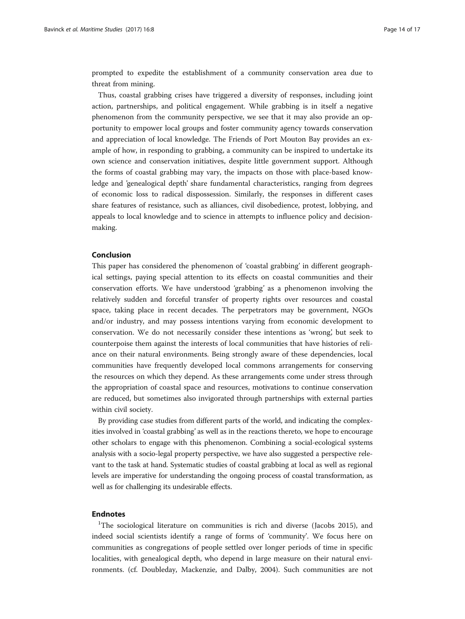prompted to expedite the establishment of a community conservation area due to threat from mining.

Thus, coastal grabbing crises have triggered a diversity of responses, including joint action, partnerships, and political engagement. While grabbing is in itself a negative phenomenon from the community perspective, we see that it may also provide an opportunity to empower local groups and foster community agency towards conservation and appreciation of local knowledge. The Friends of Port Mouton Bay provides an example of how, in responding to grabbing, a community can be inspired to undertake its own science and conservation initiatives, despite little government support. Although the forms of coastal grabbing may vary, the impacts on those with place-based knowledge and 'genealogical depth' share fundamental characteristics, ranging from degrees of economic loss to radical dispossession. Similarly, the responses in different cases share features of resistance, such as alliances, civil disobedience, protest, lobbying, and appeals to local knowledge and to science in attempts to influence policy and decisionmaking.

## Conclusion

This paper has considered the phenomenon of 'coastal grabbing' in different geographical settings, paying special attention to its effects on coastal communities and their conservation efforts. We have understood 'grabbing' as a phenomenon involving the relatively sudden and forceful transfer of property rights over resources and coastal space, taking place in recent decades. The perpetrators may be government, NGOs and/or industry, and may possess intentions varying from economic development to conservation. We do not necessarily consider these intentions as 'wrong', but seek to counterpoise them against the interests of local communities that have histories of reliance on their natural environments. Being strongly aware of these dependencies, local communities have frequently developed local commons arrangements for conserving the resources on which they depend. As these arrangements come under stress through the appropriation of coastal space and resources, motivations to continue conservation are reduced, but sometimes also invigorated through partnerships with external parties within civil society.

By providing case studies from different parts of the world, and indicating the complexities involved in 'coastal grabbing' as well as in the reactions thereto, we hope to encourage other scholars to engage with this phenomenon. Combining a social-ecological systems analysis with a socio-legal property perspective, we have also suggested a perspective relevant to the task at hand. Systematic studies of coastal grabbing at local as well as regional levels are imperative for understanding the ongoing process of coastal transformation, as well as for challenging its undesirable effects.

## Endnotes

<sup>1</sup>The sociological literature on communities is rich and diverse (Jacobs [2015\)](#page-15-0), and indeed social scientists identify a range of forms of 'community'. We focus here on communities as congregations of people settled over longer periods of time in specific localities, with genealogical depth, who depend in large measure on their natural environments. (cf. Doubleday, Mackenzie, and Dalby, [2004](#page-15-0)). Such communities are not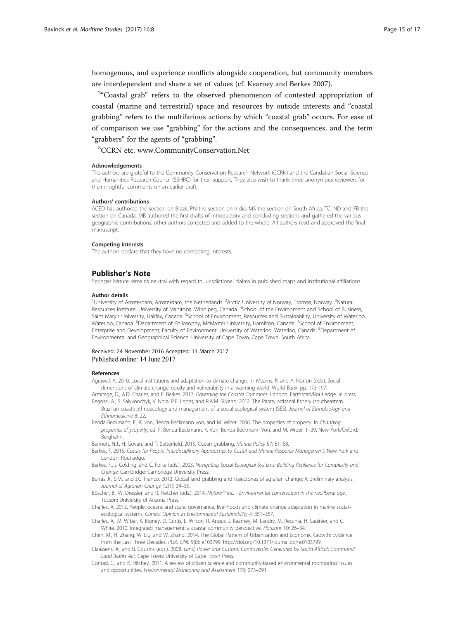<span id="page-14-0"></span>homogenous, and experience conflicts alongside cooperation, but community members are interdependent and share a set of values (cf. Kearney and Berkes [2007\)](#page-15-0).

<sup>2</sup>"Coastal grab" refers to the observed phenomenon of contested appropriation of coastal (marine and terrestrial) space and resources by outside interests and "coastal grabbing" refers to the multifarious actions by which "coastal grab" occurs. For ease of of comparison we use "grabbing" for the actions and the consequences, and the term "grabbers" for the agents of "grabbing".

3 CCRN etc. [www.CommunityConservation.Net](http://www.communityconservation.net/)

#### Acknowledgements

The authors are grateful to the Community Conservation Research Network (CCRN) and the Candatian Social Science and Humanities Research Council (SSHRC) for their support. They also wish to thank three anonymous reviewers for their insightful comments on an earlier draft.

#### Authors' contributions

ACED has authored the section on Brazil; PN the section on India; MS the section on South Africa; TC, ND and FB the section on Canada. MB authored the first drafts of introductory and concluding sections and gathered the various geographic contributions; other authors corrected and added to the whole. All authors read and approved the final manuscript.

#### Competing interests

The authors declare that they have no competing interests.

#### Publisher's Note

Springer Nature remains neutral with regard to jurisdictional claims in published maps and institutional affiliations.

#### Author details

<sup>1</sup>University of Amsterdam, Amsterdam, the Netherlands. <sup>2</sup>Arctic University of Norway, Tromsø, Norway. <sup>3</sup>Natural Resources Institute, University of Manitoba, Winnipeg, Canada. <sup>4</sup>School of the Environment and School of Business, Saint Mary's University, Halifax, Canada. <sup>5</sup>School of Environment, Resources and Sustainability, University of Waterloo, Waterloo, Canada. <sup>6</sup>Department of Philosophy, McMaster University, Hamilton, Canada. <sup>7</sup>School of Environment, Enterprise and Development, Faculty of Environment, University of Waterloo, Waterloo, Canada. <sup>8</sup>Department of Environmental and Geographical Science, University of Cape Town, Cape Town, South Africa.

## Received: 24 November 2016 Accepted: 11 March 2017

#### References

- Agrawal, A. 2010. Local institutions and adaptation to climate change. In: Mearns, R. and A. Norton (eds.), Social dimensions of climate change, equity and vulnerability in a warming world, World Bank, pp. 173-197.
- Armitage, D., A.D. Charles, and F. Berkes. 2017. Governing the Coastal Commons. London: Earthscan/Routledge. in press. Begossi, A., S. Salyvonchyk, V. Nora, P.F. Lopes, and R.A.M. Silvano. 2012. The Paraty artisanal fishery (southeastern

Brazilian coast): ethnoecology and management of a social-ecological system (SES). Journal of Ethnobiology and Ethnomedicine 8: 22.

- Benda-Beckmann, F., K. von, Benda-Beckmann von, and M. Wiber. 2006. The properties of property. In Changing properties of property, ed. F. Benda-Beckmann, K. Von, Benda-Beckmann Von, and M. Wiber, 1–39. New York/Oxford: Berghahn.
- Bennett, N.J., H. Govan, and T. Satterfield. 2015. Ocean grabbing. Marine Policy 57: 61–68.
- Berkes, F. 2015. Coasts for People. Interdisciplinary Approaches to Costal and Marine Resource Management. New York and London: Routledge.
- Berkes, F., J. Colding, and C. Folke (eds.). 2003. Navigating Social-Ecological Systems: Building Resilience for Complexity and Change. Cambridge: Cambridge University Press.

Borras Jr., S.M., and J.C. Franco. 2012. Global land grabbing and trajectories of agrarian change: A preliminary analysis. Journal of Agrarian Change 12(1): 34–59.

Büscher, B., W. Dressler, and R. Fletcher (eds.). 2014. Nature™ Inc. - Environmental conservation in the neoliberal age Tucson: University of Arizona Press.

Charles, A. 2012. People, oceans and scale: governance, livelihoods and climate change adaptation in marine social– ecological systems. Current Opinion in Environmental Sustainability 4: 351–357.

Charles, A., M. Wiber, K. Bigney, D. Curtis, L. Wilson, R. Angus, J. Kearney, M. Landry, M. Recchia, H. Saulnier, and C. White. 2010. Integrated management: a coastal community perspective. Horizons 10: 26–34.

Chen, M., H. Zhang, W. Liu, and W. Zhang. 2014. The Global Pattern of Urbanization and Economic Growth: Evidence from the Last Three Decades. PLoS ONE 9(8): e103799. http://doi.org/10.1371/journal.pone.0103799.

Claassens, A., and B. Cousins (eds.). 2008. Land, Power and Custom: Controversies Generated by South Africa's Communal Land Rights Act. Cape Town: University of Cape Town Press.

Conrad, C., and K. Hilchey. 2011. A review of citizen science and community-based environmental monitoring: issues and opportunities. Environmental Monitoring and Assessment 176: 273–291.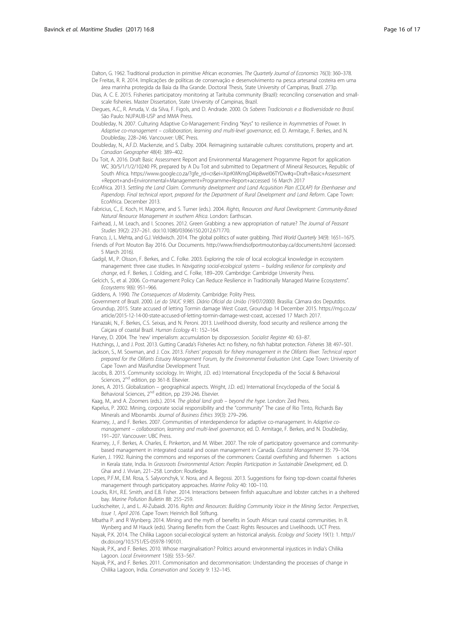<span id="page-15-0"></span>Dalton, G. 1962. Traditional production in primitive African economies. The Quarterly Journal of Economics 76(3): 360–378. De Freitas, R. R. 2014. Implicações de políticas de conservação e desenvolvimento na pesca artesanal costeira em uma área marinha protegida da Baía da Ilha Grande. Doctoral Thesis, State University of Campinas, Brazil. 273p.

- Dias, A. C. E. 2015. Fisheries participatory monitoring at Tarituba community (Brazil): reconciling conservation and smallscale fisheries. Master Dissertation, State University of Campinas, Brazil.
- Diegues, A.C., R. Arruda, V. da Silva, F. Figols, and D. Andrade. 2000. Os Saberes Tradicionais e a Biodiversidade no Brasil. São Paulo: NUPAUB-USP and MMA Press.
- Doubleday, N. 2007. Culturing Adaptive Co-Management: Finding "Keys" to resilience in Asymmetries of Power. In Adaptive co-management – collaboration, learning and multi-level governance, ed. D. Armitage, F. Berkes, and N. Doubleday, 228–246. Vancouver: UBC Press.
- Doubleday, N., A.F.D. Mackenzie, and S. Dalby. 2004. Reimagining sustainable cultures: constitutions, property and art. Canadian Geographer 48(4): 389–402.
- Du Toit, A. 2016. Draft Basic Assessment Report and Environmental Management Programme Report for application WC 30/5/1/1/2/10240 PR, prepared by A Du Toit and submitted to Department of Mineral Resources, Republic of South Africa. https://www.google.co.za/?gfe\_rd=cr&ei=XprKWKmgD4ip8weI06TYDw#q=Draft+Basic+Assessment +Report+and+Environmental+Management+Programme+Report+accessed 16 March 2017
- EcoAfrica. 2013. Settling the Land Claim. Community development and Land Acquisition Plan (CDLAP) for Ebenhaeser and Papendorp. Final technical report, prepared for the Department of Rural Development and Land Reform. Cape Town: EcoAfrica. December 2013.
- Fabricius, C., E. Koch, H. Magome, and S. Turner (eds.). 2004. Rights, Resources and Rural Development: Community-Based Natural Resource Management in southern Africa. London: Earthscan.
- Fairhead, J., M. Leach, and I. Scoones. 2012. Green Grabbing: a new appropriation of nature? The Journal of Peasant Studies 39(2): 237–261. doi:10.1080/03066150.2012.671770.
- Franco, J., L. Mehta, and G.J. Veldwisch. 2014. The global politics of water grabbing. Third World Quarterly 34(9): 1651–1675. Friends of Port Mouton Bay 2016. Our Documents. http://www.friendsofportmoutonbay.ca/documents.html (accessed:
- 5 March 2016). Gadgil, M., P. Olsson, F. Berkes, and C. Folke. 2003. Exploring the role of local ecological knowledge in ecosystem management: three case studies. In Navigating social-ecological systems – building resilience for complexity and change, ed. F. Berkes, J. Colding, and C. Folke, 189–209. Cambridge: Cambridge University Press.
- Gelcich, S., et al. 2006. Co-management Policy Can Reduce Resilience in Traditionally Managed Marine Ecosystems". Ecosystems 9(6): 951–966.
- Giddens, A. 1990. The Consequences of Modernity. Cambridge: Polity Press.
- Government of Brazil. 2000. Lei do SNUC 9.985. Diário Oficial da União (19/07/2000). Brasilia: Câmara dos Deputdos. Groundup, 2015. State accused of letting Tormin damage West Coast, Groundup 14 December 2015. https://mg.co.za/ article/2015-12-14-00-state-accused-of-letting-tormin-damage-west-coast, accessed 17 March 2017.
- Hanazaki, N., F. Berkes, C.S. Seixas, and N. Peroni. 2013. Livelihood diversity, food security and resilience among the Caiçara of coastal Brazil. Human Ecology 41: 152–164.
- Harvey, D. 2004. The 'new' imperialism: accumulation by dispossession. Socialist Register 40: 63–87.
- Hutchings, J., and J. Post. 2013. Gutting Canada's Fisheries Act: no fishery, no fish habitat protection. Fisheries 38: 497–501.
- Jackson, S., M. Sowman, and J. Cox. 2013. Fishers' proposals for fishery management in the Olifants River. Technical report prepared for the Olifants Estuary Management Forum, by the Environmental Evaluation Unit. Cape Town: University of Cape Town and Masifundise Development Trust.
- Jacobs, B. 2015. Community sociology. In: Wright, J.D. ed.) International Encyclopedia of the Social & Behavioral Sciences, 2<sup>nd</sup> edition, pp 361-8. Elsevier.
- Jones, A. 2015. Globalization geographical aspects. Wright, J.D. ed.) International Encyclopedia of the Social & Behavioral Sciences, 2<sup>nd</sup> edition, pp 239-246. Elsevier.
- Kaag, M., and A. Zoomers (eds.). 2014. The global land grab beyond the hype. London: Zed Press.
- Kapelus, P. 2002. Mining, corporate social responsibility and the "community" The case of Rio Tinto, Richards Bay Minerals and Mbonambi. Journal of Business Ethics 39(3): 279–296.
- Kearney, J., and F. Berkes. 2007. Communities of interdependence for adaptive co-management. In Adaptive comanagement – collaboration, learning and multi-level governance, ed. D. Armitage, F. Berkes, and N. Doubleday, 191–207. Vancouver: UBC Press.
- Kearney, J., F. Berkes, A. Charles, E. Pinkerton, and M. Wiber. 2007. The role of participatory governance and communitybased management in integrated coastal and ocean management in Canada. Coastal Management 35: 79–104.
- Kurien, J. 1992. Ruining the commons and responses of the commoners: Coastal overfishing and fishermen s actions in Kerala state, India. In Grassroots Environmental Action: Peoples Participation in Sustainable Development, ed. D. Ghai and J. Vivian, 221–258. London: Routledge.
- Lopes, P.F.M., E.M. Rosa, S. Salyvonchyk, V. Nora, and A. Begossi. 2013. Suggestions for fixing top-down coastal fisheries management through participatory approaches. Marine Policy 40: 100–110.
- Loucks, R.H., R.E. Smith, and E.B. Fisher. 2014. Interactions between finfish aquaculture and lobster catches in a sheltered bay. Marine Pollution Bulletin 88: 255–259.
- Luckscheiter, J., and L. Al-Zubaidi. 2016. Rights and Resources: Building Community Voice in the Mining Sector. Perspectives, Issue 1, April 2016. Cape Town: Heinrich Boll Stiftung.
- Mbatha P. and R Wynberg. 2014. Mining and the myth of benefits in South African rural coastal communities. In R. Wynberg and M Hauck (eds). Sharing Benefits from the Coast: Rights Resources and Livelihoods. UCT Press.
- Nayak, P.K. 2014. The Chilika Lagoon social-ecological system: an historical analysis. Ecology and Society 19(1): 1. http:// dx.doi.org/10.5751/ES-05978-190101.
- Nayak, P.K., and F. Berkes. 2010. Whose marginalisation? Politics around environmental injustices in India's Chilika Lagoon. Local Environment 15(6): 553–567.
- Nayak, P.K., and F. Berkes. 2011. Commonisation and decommonisation: Understanding the processes of change in Chilika Lagoon, India. Conservation and Society 9: 132–145.